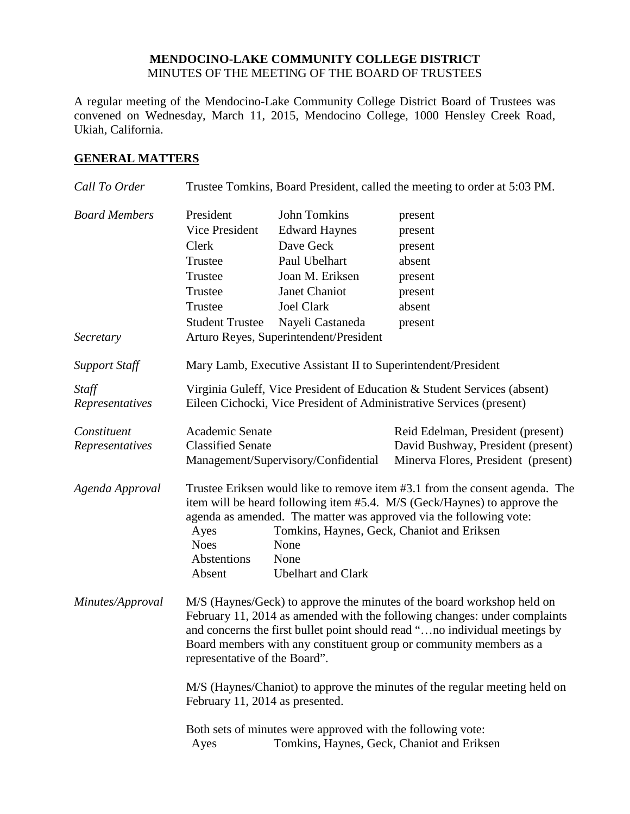### **MENDOCINO-LAKE COMMUNITY COLLEGE DISTRICT** MINUTES OF THE MEETING OF THE BOARD OF TRUSTEES

A regular meeting of the Mendocino-Lake Community College District Board of Trustees was convened on Wednesday, March 11, 2015, Mendocino College, 1000 Hensley Creek Road, Ukiah, California.

### **GENERAL MATTERS**

| Call To Order                     | Trustee Tomkins, Board President, called the meeting to order at 5:03 PM.                                                                                                                                                                                                                                                                                                |                                                                                                                                                                                           |                                                                                                                |  |
|-----------------------------------|--------------------------------------------------------------------------------------------------------------------------------------------------------------------------------------------------------------------------------------------------------------------------------------------------------------------------------------------------------------------------|-------------------------------------------------------------------------------------------------------------------------------------------------------------------------------------------|----------------------------------------------------------------------------------------------------------------|--|
| <b>Board Members</b><br>Secretary | President<br>Vice President<br>Clerk<br>Trustee<br>Trustee<br>Trustee<br>Trustee<br><b>Student Trustee</b>                                                                                                                                                                                                                                                               | John Tomkins<br><b>Edward Haynes</b><br>Dave Geck<br>Paul Ubelhart<br>Joan M. Eriksen<br>Janet Chaniot<br><b>Joel Clark</b><br>Nayeli Castaneda<br>Arturo Reyes, Superintendent/President | present<br>present<br>present<br>absent<br>present<br>present<br>absent<br>present                             |  |
| <b>Support Staff</b>              |                                                                                                                                                                                                                                                                                                                                                                          | Mary Lamb, Executive Assistant II to Superintendent/President                                                                                                                             |                                                                                                                |  |
| Staff<br>Representatives          | Virginia Guleff, Vice President of Education & Student Services (absent)<br>Eileen Cichocki, Vice President of Administrative Services (present)                                                                                                                                                                                                                         |                                                                                                                                                                                           |                                                                                                                |  |
| Constituent<br>Representatives    | Academic Senate<br><b>Classified Senate</b>                                                                                                                                                                                                                                                                                                                              | Management/Supervisory/Confidential                                                                                                                                                       | Reid Edelman, President (present)<br>David Bushway, President (present)<br>Minerva Flores, President (present) |  |
| Agenda Approval                   | Trustee Eriksen would like to remove item #3.1 from the consent agenda. The<br>item will be heard following item #5.4. M/S (Geck/Haynes) to approve the<br>agenda as amended. The matter was approved via the following vote:<br>Tomkins, Haynes, Geck, Chaniot and Eriksen<br>Ayes<br><b>Noes</b><br>None<br>Abstentions<br>None<br><b>Ubelhart</b> and Clark<br>Absent |                                                                                                                                                                                           |                                                                                                                |  |
| Minutes/Approval                  | M/S (Haynes/Geck) to approve the minutes of the board workshop held on<br>February 11, 2014 as amended with the following changes: under complaints<br>and concerns the first bullet point should read "no individual meetings by<br>Board members with any constituent group or community members as a<br>representative of the Board".                                 |                                                                                                                                                                                           |                                                                                                                |  |
|                                   | M/S (Haynes/Chaniot) to approve the minutes of the regular meeting held on<br>February 11, 2014 as presented.                                                                                                                                                                                                                                                            |                                                                                                                                                                                           |                                                                                                                |  |
|                                   | Ayes                                                                                                                                                                                                                                                                                                                                                                     | Both sets of minutes were approved with the following vote:<br>Tomkins, Haynes, Geck, Chaniot and Eriksen                                                                                 |                                                                                                                |  |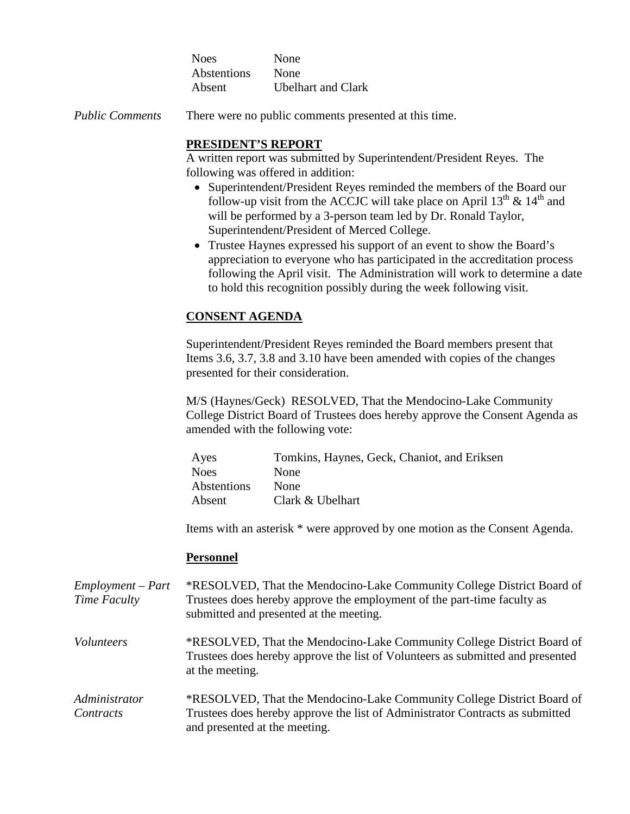| <b>Noes</b> | None                      |
|-------------|---------------------------|
| Abstentions | None                      |
| Absent      | <b>Ubelhart and Clark</b> |

*Public Comments* There were no public comments presented at this time.

# **PRESIDENT'S REPORT**

A written report was submitted by Superintendent/President Reyes. The following was offered in addition:

- Superintendent/President Reyes reminded the members of the Board our follow-up visit from the ACCJC will take place on April  $13<sup>th</sup>$  &  $14<sup>th</sup>$  and will be performed by a 3-person team led by Dr. Ronald Taylor, Superintendent/President of Merced College.
- Trustee Haynes expressed his support of an event to show the Board's appreciation to everyone who has participated in the accreditation process following the April visit. The Administration will work to determine a date to hold this recognition possibly during the week following visit.

# **CONSENT AGENDA**

Superintendent/President Reyes reminded the Board members present that Items 3.6, 3.7, 3.8 and 3.10 have been amended with copies of the changes presented for their consideration.

M/S (Haynes/Geck) RESOLVED, That the Mendocino-Lake Community College District Board of Trustees does hereby approve the Consent Agenda as amended with the following vote:

| Tomkins, Haynes, Geck, Chaniot, and Eriksen |
|---------------------------------------------|
| None                                        |
| None                                        |
| Clark & Ubelhart                            |
|                                             |

Items with an asterisk \* were approved by one motion as the Consent Agenda.

# **Personnel**

*Employment – Part Time Faculty* \*RESOLVED, That the Mendocino-Lake Community College District Board of Trustees does hereby approve the employment of the part-time faculty as submitted and presented at the meeting.

- *Volunteers* \*RESOLVED, That the Mendocino-Lake Community College District Board of Trustees does hereby approve the list of Volunteers as submitted and presented at the meeting.
- *Administrator Contracts* \*RESOLVED, That the Mendocino-Lake Community College District Board of Trustees does hereby approve the list of Administrator Contracts as submitted and presented at the meeting.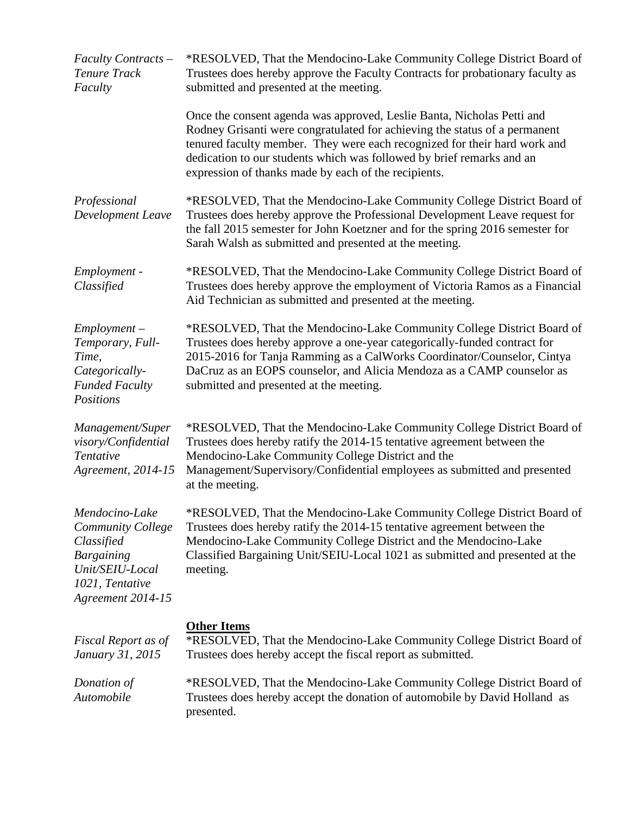| Faculty Contracts -<br>Tenure Track<br>Faculty                                                                                           | *RESOLVED, That the Mendocino-Lake Community College District Board of<br>Trustees does hereby approve the Faculty Contracts for probationary faculty as<br>submitted and presented at the meeting.                                                                                                                                                                |
|------------------------------------------------------------------------------------------------------------------------------------------|--------------------------------------------------------------------------------------------------------------------------------------------------------------------------------------------------------------------------------------------------------------------------------------------------------------------------------------------------------------------|
|                                                                                                                                          | Once the consent agenda was approved, Leslie Banta, Nicholas Petti and<br>Rodney Grisanti were congratulated for achieving the status of a permanent<br>tenured faculty member. They were each recognized for their hard work and<br>dedication to our students which was followed by brief remarks and an<br>expression of thanks made by each of the recipients. |
| Professional<br>Development Leave                                                                                                        | *RESOLVED, That the Mendocino-Lake Community College District Board of<br>Trustees does hereby approve the Professional Development Leave request for<br>the fall 2015 semester for John Koetzner and for the spring 2016 semester for<br>Sarah Walsh as submitted and presented at the meeting.                                                                   |
| Employment -<br>Classified                                                                                                               | *RESOLVED, That the Mendocino-Lake Community College District Board of<br>Trustees does hereby approve the employment of Victoria Ramos as a Financial<br>Aid Technician as submitted and presented at the meeting.                                                                                                                                                |
| $Employment -$<br>Temporary, Full-<br>Time,<br>Categorically-<br><b>Funded Faculty</b><br>Positions                                      | *RESOLVED, That the Mendocino-Lake Community College District Board of<br>Trustees does hereby approve a one-year categorically-funded contract for<br>2015-2016 for Tanja Ramming as a CalWorks Coordinator/Counselor, Cintya<br>DaCruz as an EOPS counselor, and Alicia Mendoza as a CAMP counselor as<br>submitted and presented at the meeting.                |
| Management/Super<br>visory/Confidential<br>Tentative<br>Agreement, 2014-15                                                               | *RESOLVED, That the Mendocino-Lake Community College District Board of<br>Trustees does hereby ratify the 2014-15 tentative agreement between the<br>Mendocino-Lake Community College District and the<br>Management/Supervisory/Confidential employees as submitted and presented<br>at the meeting.                                                              |
| Mendocino-Lake<br><b>Community College</b><br>Classified<br><b>Bargaining</b><br>Unit/SEIU-Local<br>1021, Tentative<br>Agreement 2014-15 | *RESOLVED, That the Mendocino-Lake Community College District Board of<br>Trustees does hereby ratify the 2014-15 tentative agreement between the<br>Mendocino-Lake Community College District and the Mendocino-Lake<br>Classified Bargaining Unit/SEIU-Local 1021 as submitted and presented at the<br>meeting.                                                  |
| Fiscal Report as of<br>January 31, 2015                                                                                                  | <b>Other Items</b><br>*RESOLVED, That the Mendocino-Lake Community College District Board of<br>Trustees does hereby accept the fiscal report as submitted.                                                                                                                                                                                                        |
| Donation of<br>Automobile                                                                                                                | *RESOLVED, That the Mendocino-Lake Community College District Board of<br>Trustees does hereby accept the donation of automobile by David Holland as<br>presented.                                                                                                                                                                                                 |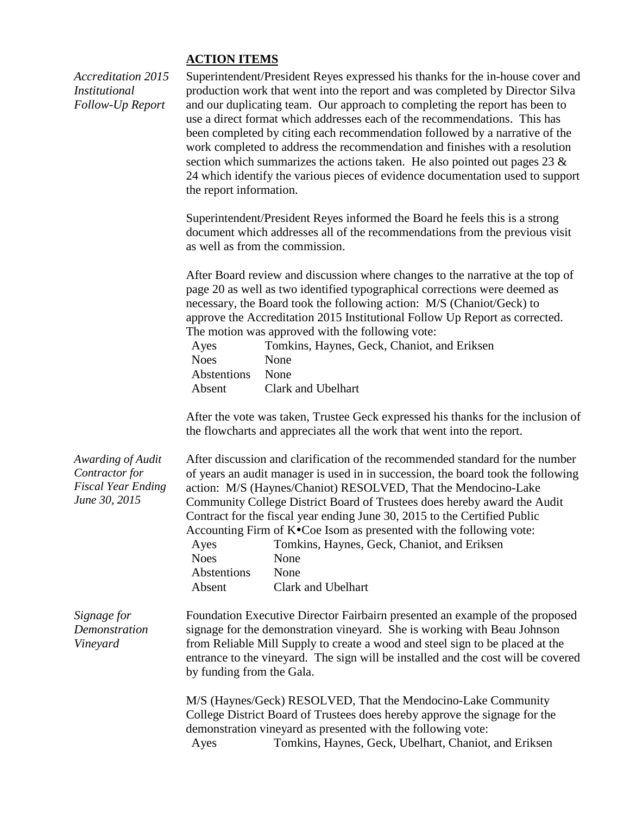#### **ACTION ITEMS**

*Accreditation 2015 Institutional Follow-Up Report*

Superintendent/President Reyes expressed his thanks for the in-house cover and production work that went into the report and was completed by Director Silva and our duplicating team. Our approach to completing the report has been to use a direct format which addresses each of the recommendations. This has been completed by citing each recommendation followed by a narrative of the work completed to address the recommendation and finishes with a resolution section which summarizes the actions taken. He also pointed out pages 23  $\&$ 24 which identify the various pieces of evidence documentation used to support the report information.

Superintendent/President Reyes informed the Board he feels this is a strong document which addresses all of the recommendations from the previous visit as well as from the commission.

After Board review and discussion where changes to the narrative at the top of page 20 as well as two identified typographical corrections were deemed as necessary, the Board took the following action: M/S (Chaniot/Geck) to approve the Accreditation 2015 Institutional Follow Up Report as corrected. The motion was approved with the following vote:

| Ayes        | Tomkins, Haynes, Geck, Chaniot, and Eriksen |
|-------------|---------------------------------------------|
| Noes        | <b>None</b>                                 |
| Abstentions | None                                        |
| Absent      | Clark and Ubelhart                          |

After the vote was taken, Trustee Geck expressed his thanks for the inclusion of the flowcharts and appreciates all the work that went into the report.

| Awarding of Audit<br>Contractor for<br><b>Fiscal Year Ending</b><br>June 30, 2015 | Ayes<br><b>Noes</b><br>Abstentions<br>Absent | After discussion and clarification of the recommended standard for the number<br>of years an audit manager is used in in succession, the board took the following<br>action: M/S (Haynes/Chaniot) RESOLVED, That the Mendocino-Lake<br>Community College District Board of Trustees does hereby award the Audit<br>Contract for the fiscal year ending June 30, 2015 to the Certified Public<br>Accounting Firm of $K^{\bullet}$ Coe Isom as presented with the following vote:<br>Tomkins, Haynes, Geck, Chaniot, and Eriksen<br>None<br>None<br>Clark and Ubelhart |
|-----------------------------------------------------------------------------------|----------------------------------------------|----------------------------------------------------------------------------------------------------------------------------------------------------------------------------------------------------------------------------------------------------------------------------------------------------------------------------------------------------------------------------------------------------------------------------------------------------------------------------------------------------------------------------------------------------------------------|
| Signage for<br>Demonstration<br>Vineyard                                          | by funding from the Gala.                    | Foundation Executive Director Fairbairn presented an example of the proposed<br>signage for the demonstration vineyard. She is working with Beau Johnson<br>from Reliable Mill Supply to create a wood and steel sign to be placed at the<br>entrance to the vineyard. The sign will be installed and the cost will be covered                                                                                                                                                                                                                                       |
|                                                                                   | Ayes                                         | M/S (Haynes/Geck) RESOLVED, That the Mendocino-Lake Community<br>College District Board of Trustees does hereby approve the signage for the<br>demonstration vineyard as presented with the following vote:<br>Tomkins, Haynes, Geck, Ubelhart, Chaniot, and Eriksen                                                                                                                                                                                                                                                                                                 |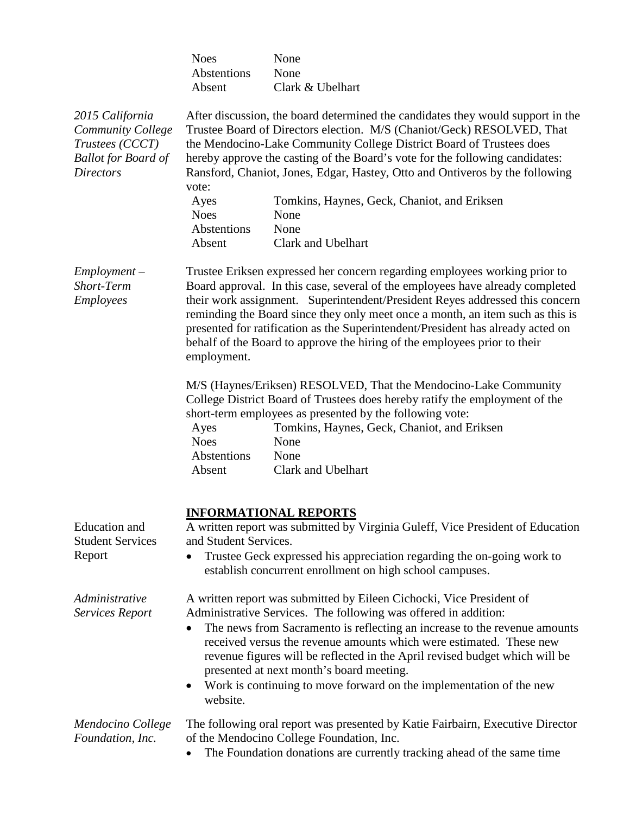|                                                                                                           | <b>Noes</b><br>Abstentions<br>Absent                                                                                                                                                                                                                                                                                                                                                                                                                                                                                   | None<br>None<br>Clark & Ubelhart                                                                                                                                                                                                                                                                 |
|-----------------------------------------------------------------------------------------------------------|------------------------------------------------------------------------------------------------------------------------------------------------------------------------------------------------------------------------------------------------------------------------------------------------------------------------------------------------------------------------------------------------------------------------------------------------------------------------------------------------------------------------|--------------------------------------------------------------------------------------------------------------------------------------------------------------------------------------------------------------------------------------------------------------------------------------------------|
| 2015 California<br>Community College<br>Trustees (CCCT)<br><b>Ballot for Board of</b><br><b>Directors</b> | After discussion, the board determined the candidates they would support in the<br>Trustee Board of Directors election. M/S (Chaniot/Geck) RESOLVED, That<br>the Mendocino-Lake Community College District Board of Trustees does<br>hereby approve the casting of the Board's vote for the following candidates:<br>Ransford, Chaniot, Jones, Edgar, Hastey, Otto and Ontiveros by the following<br>vote:                                                                                                             |                                                                                                                                                                                                                                                                                                  |
|                                                                                                           | Ayes<br><b>Noes</b>                                                                                                                                                                                                                                                                                                                                                                                                                                                                                                    | Tomkins, Haynes, Geck, Chaniot, and Eriksen<br>None                                                                                                                                                                                                                                              |
|                                                                                                           | Abstentions<br>Absent                                                                                                                                                                                                                                                                                                                                                                                                                                                                                                  | None<br><b>Clark and Ubelhart</b>                                                                                                                                                                                                                                                                |
| $Employment -$<br>Short-Term<br>Employees                                                                 | Trustee Eriksen expressed her concern regarding employees working prior to<br>Board approval. In this case, several of the employees have already completed<br>their work assignment. Superintendent/President Reyes addressed this concern<br>reminding the Board since they only meet once a month, an item such as this is<br>presented for ratification as the Superintendent/President has already acted on<br>behalf of the Board to approve the hiring of the employees prior to their<br>employment.           |                                                                                                                                                                                                                                                                                                  |
|                                                                                                           | Ayes<br><b>Noes</b><br>Abstentions<br>Absent                                                                                                                                                                                                                                                                                                                                                                                                                                                                           | M/S (Haynes/Eriksen) RESOLVED, That the Mendocino-Lake Community<br>College District Board of Trustees does hereby ratify the employment of the<br>short-term employees as presented by the following vote:<br>Tomkins, Haynes, Geck, Chaniot, and Eriksen<br>None<br>None<br>Clark and Ubelhart |
| Education and<br><b>Student Services</b><br>Report                                                        | <b>INFORMATIONAL REPORTS</b><br>A written report was submitted by Virginia Guleff, Vice President of Education<br>and Student Services.<br>Trustee Geck expressed his appreciation regarding the on-going work to                                                                                                                                                                                                                                                                                                      |                                                                                                                                                                                                                                                                                                  |
|                                                                                                           |                                                                                                                                                                                                                                                                                                                                                                                                                                                                                                                        | establish concurrent enrollment on high school campuses.                                                                                                                                                                                                                                         |
| Administrative<br><b>Services Report</b>                                                                  | A written report was submitted by Eileen Cichocki, Vice President of<br>Administrative Services. The following was offered in addition:<br>The news from Sacramento is reflecting an increase to the revenue amounts<br>received versus the revenue amounts which were estimated. These new<br>revenue figures will be reflected in the April revised budget which will be<br>presented at next month's board meeting.<br>Work is continuing to move forward on the implementation of the new<br>$\bullet$<br>website. |                                                                                                                                                                                                                                                                                                  |
| Mendocino College<br>Foundation, Inc.                                                                     |                                                                                                                                                                                                                                                                                                                                                                                                                                                                                                                        | The following oral report was presented by Katie Fairbairn, Executive Director<br>of the Mendocino College Foundation, Inc.<br>The Foundation donations are currently tracking ahead of the same time                                                                                            |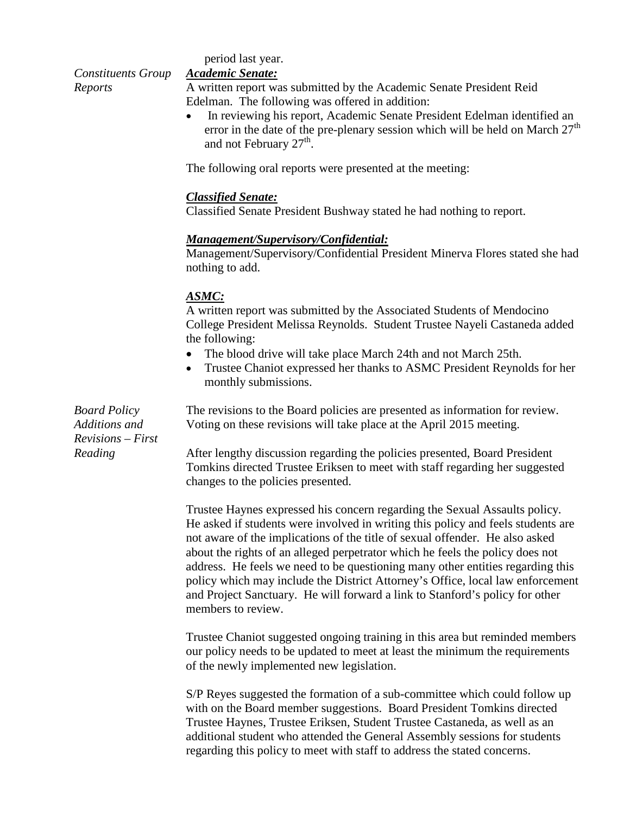period last year.

*Constituents Group Reports*

#### *Academic Senate:*

A written report was submitted by the Academic Senate President Reid Edelman. The following was offered in addition:

• In reviewing his report, Academic Senate President Edelman identified an error in the date of the pre-plenary session which will be held on March  $27<sup>th</sup>$ and not February  $27<sup>th</sup>$ .

The following oral reports were presented at the meeting:

#### *Classified Senate:*

Classified Senate President Bushway stated he had nothing to report.

#### *Management/Supervisory/Confidential:*

Management/Supervisory/Confidential President Minerva Flores stated she had nothing to add.

#### *ASMC:*

A written report was submitted by the Associated Students of Mendocino College President Melissa Reynolds. Student Trustee Nayeli Castaneda added the following:

- The blood drive will take place March 24th and not March 25th.
- Trustee Chaniot expressed her thanks to ASMC President Reynolds for her monthly submissions.

The revisions to the Board policies are presented as information for review. Voting on these revisions will take place at the April 2015 meeting.

After lengthy discussion regarding the policies presented, Board President Tomkins directed Trustee Eriksen to meet with staff regarding her suggested changes to the policies presented.

Trustee Haynes expressed his concern regarding the Sexual Assaults policy. He asked if students were involved in writing this policy and feels students are not aware of the implications of the title of sexual offender. He also asked about the rights of an alleged perpetrator which he feels the policy does not address. He feels we need to be questioning many other entities regarding this policy which may include the District Attorney's Office, local law enforcement and Project Sanctuary. He will forward a link to Stanford's policy for other members to review.

Trustee Chaniot suggested ongoing training in this area but reminded members our policy needs to be updated to meet at least the minimum the requirements of the newly implemented new legislation.

S/P Reyes suggested the formation of a sub-committee which could follow up with on the Board member suggestions. Board President Tomkins directed Trustee Haynes, Trustee Eriksen, Student Trustee Castaneda, as well as an additional student who attended the General Assembly sessions for students regarding this policy to meet with staff to address the stated concerns.

*Board Policy Additions and Revisions – First Reading*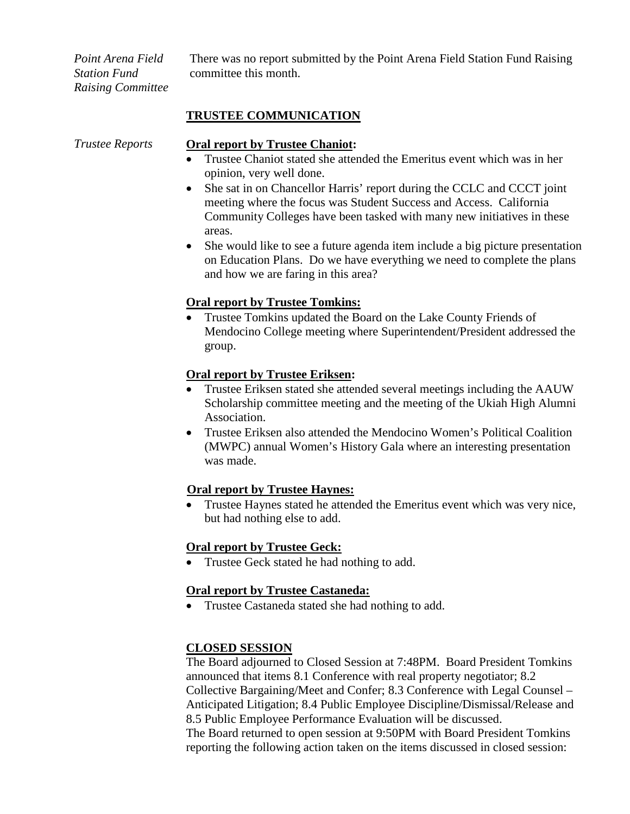*Point Arena Field Station Fund Raising Committee* There was no report submitted by the Point Arena Field Station Fund Raising committee this month.

### **TRUSTEE COMMUNICATION**

#### *Trustee Reports* **Oral report by Trustee Chaniot:**

- Trustee Chaniot stated she attended the Emeritus event which was in her opinion, very well done.
- She sat in on Chancellor Harris' report during the CCLC and CCCT joint meeting where the focus was Student Success and Access. California Community Colleges have been tasked with many new initiatives in these areas.
- She would like to see a future agenda item include a big picture presentation on Education Plans. Do we have everything we need to complete the plans and how we are faring in this area?

### **Oral report by Trustee Tomkins:**

• Trustee Tomkins updated the Board on the Lake County Friends of Mendocino College meeting where Superintendent/President addressed the group.

### **Oral report by Trustee Eriksen:**

- Trustee Eriksen stated she attended several meetings including the AAUW Scholarship committee meeting and the meeting of the Ukiah High Alumni Association.
- Trustee Eriksen also attended the Mendocino Women's Political Coalition (MWPC) annual Women's History Gala where an interesting presentation was made.

# **Oral report by Trustee Haynes:**

• Trustee Haynes stated he attended the Emeritus event which was very nice, but had nothing else to add.

# **Oral report by Trustee Geck:**

Trustee Geck stated he had nothing to add.

# **Oral report by Trustee Castaneda:**

• Trustee Castaneda stated she had nothing to add.

# **CLOSED SESSION**

The Board adjourned to Closed Session at 7:48PM. Board President Tomkins announced that items 8.1 Conference with real property negotiator; 8.2 Collective Bargaining/Meet and Confer; 8.3 Conference with Legal Counsel – Anticipated Litigation; 8.4 Public Employee Discipline/Dismissal/Release and 8.5 Public Employee Performance Evaluation will be discussed.

The Board returned to open session at 9:50PM with Board President Tomkins reporting the following action taken on the items discussed in closed session: